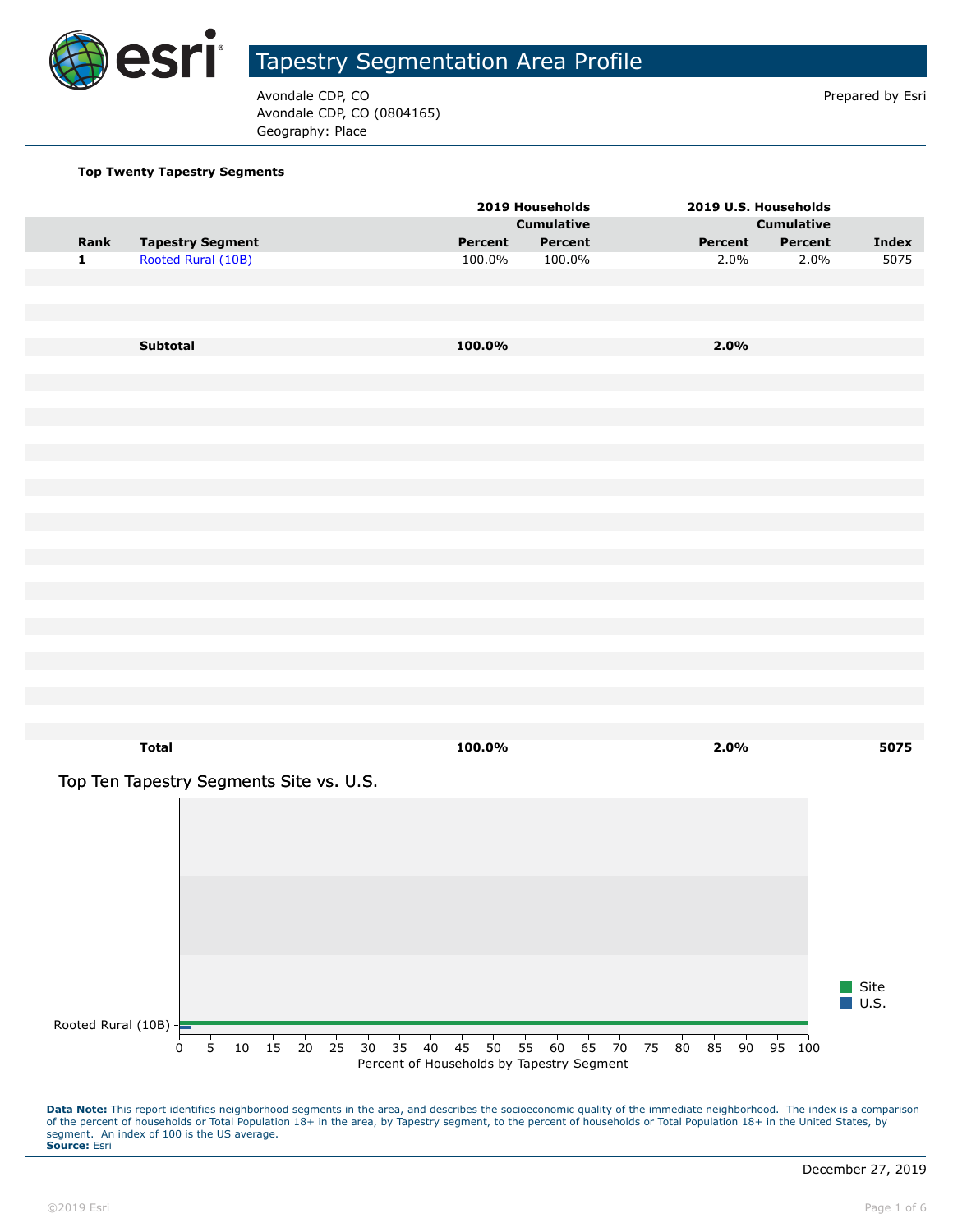

Avondale CDP, CO **Prepared by Estimate COP**,  $\overline{P}$ Avondale CDP, CO (0804165) Geography: Place

#### **Top Twenty Tapestry Segments**

|                      |                                         |                     |    |          |                                           | 2019 Households   |          |          |          | 2019 U.S. Households |                     |
|----------------------|-----------------------------------------|---------------------|----|----------|-------------------------------------------|-------------------|----------|----------|----------|----------------------|---------------------|
|                      |                                         |                     |    |          |                                           | <b>Cumulative</b> |          |          |          | <b>Cumulative</b>    |                     |
| Rank                 | <b>Tapestry Segment</b>                 |                     |    |          | Percent                                   | Percent           |          |          | Percent  | Percent              | Index               |
| $\mathbf 1$          | Rooted Rural (10B)                      |                     |    |          | 100.0%                                    | 100.0%            |          |          | 2.0%     | 2.0%                 | 5075                |
|                      |                                         |                     |    |          |                                           |                   |          |          |          |                      |                     |
|                      |                                         |                     |    |          |                                           |                   |          |          |          |                      |                     |
|                      |                                         |                     |    |          |                                           |                   |          |          |          |                      |                     |
|                      |                                         |                     |    |          |                                           |                   |          |          |          |                      |                     |
|                      | Subtotal                                |                     |    |          | 100.0%                                    |                   |          |          | 2.0%     |                      |                     |
|                      |                                         |                     |    |          |                                           |                   |          |          |          |                      |                     |
|                      |                                         |                     |    |          |                                           |                   |          |          |          |                      |                     |
|                      |                                         |                     |    |          |                                           |                   |          |          |          |                      |                     |
|                      |                                         |                     |    |          |                                           |                   |          |          |          |                      |                     |
|                      |                                         |                     |    |          |                                           |                   |          |          |          |                      |                     |
|                      |                                         |                     |    |          |                                           |                   |          |          |          |                      |                     |
|                      |                                         |                     |    |          |                                           |                   |          |          |          |                      |                     |
|                      |                                         |                     |    |          |                                           |                   |          |          |          |                      |                     |
|                      |                                         |                     |    |          |                                           |                   |          |          |          |                      |                     |
|                      |                                         |                     |    |          |                                           |                   |          |          |          |                      |                     |
|                      |                                         |                     |    |          |                                           |                   |          |          |          |                      |                     |
|                      |                                         |                     |    |          |                                           |                   |          |          |          |                      |                     |
|                      |                                         |                     |    |          |                                           |                   |          |          |          |                      |                     |
|                      |                                         |                     |    |          |                                           |                   |          |          |          |                      |                     |
|                      |                                         |                     |    |          |                                           |                   |          |          |          |                      |                     |
|                      |                                         |                     |    |          |                                           |                   |          |          |          |                      |                     |
|                      |                                         |                     |    |          |                                           |                   |          |          |          |                      |                     |
|                      |                                         |                     |    |          |                                           |                   |          |          |          |                      |                     |
|                      |                                         |                     |    |          |                                           |                   |          |          |          |                      |                     |
|                      |                                         |                     |    |          |                                           |                   |          |          |          |                      |                     |
|                      |                                         |                     |    |          |                                           |                   |          |          |          |                      |                     |
|                      | <b>Total</b>                            |                     |    |          | 100.0%                                    |                   |          |          | 2.0%     |                      | 5075                |
|                      |                                         |                     |    |          |                                           |                   |          |          |          |                      |                     |
|                      | Top Ten Tapestry Segments Site vs. U.S. |                     |    |          |                                           |                   |          |          |          |                      |                     |
|                      |                                         |                     |    |          |                                           |                   |          |          |          |                      |                     |
|                      |                                         |                     |    |          |                                           |                   |          |          |          |                      |                     |
|                      |                                         |                     |    |          |                                           |                   |          |          |          |                      |                     |
|                      |                                         |                     |    |          |                                           |                   |          |          |          |                      |                     |
|                      |                                         |                     |    |          |                                           |                   |          |          |          |                      |                     |
|                      |                                         |                     |    |          |                                           |                   |          |          |          |                      |                     |
|                      |                                         |                     |    |          |                                           |                   |          |          |          |                      |                     |
|                      |                                         |                     |    |          |                                           |                   |          |          |          |                      |                     |
|                      |                                         |                     |    |          |                                           |                   |          |          |          |                      |                     |
|                      |                                         |                     |    |          |                                           |                   |          |          |          |                      |                     |
|                      |                                         |                     |    |          |                                           |                   |          |          |          |                      | Site                |
|                      |                                         |                     |    |          |                                           |                   |          |          |          |                      | $\blacksquare$ U.S. |
| Rooted Rural (10B) - |                                         |                     |    |          |                                           |                   |          |          |          |                      |                     |
|                      | 5<br>0                                  | $10 \t15 \t20 \t25$ | 30 | 40<br>35 | 45<br>50                                  | 60<br>55          | 65<br>70 | 75<br>80 | 85<br>90 | 95 100               |                     |
|                      |                                         |                     |    |          | Percent of Households by Tapestry Segment |                   |          |          |          |                      |                     |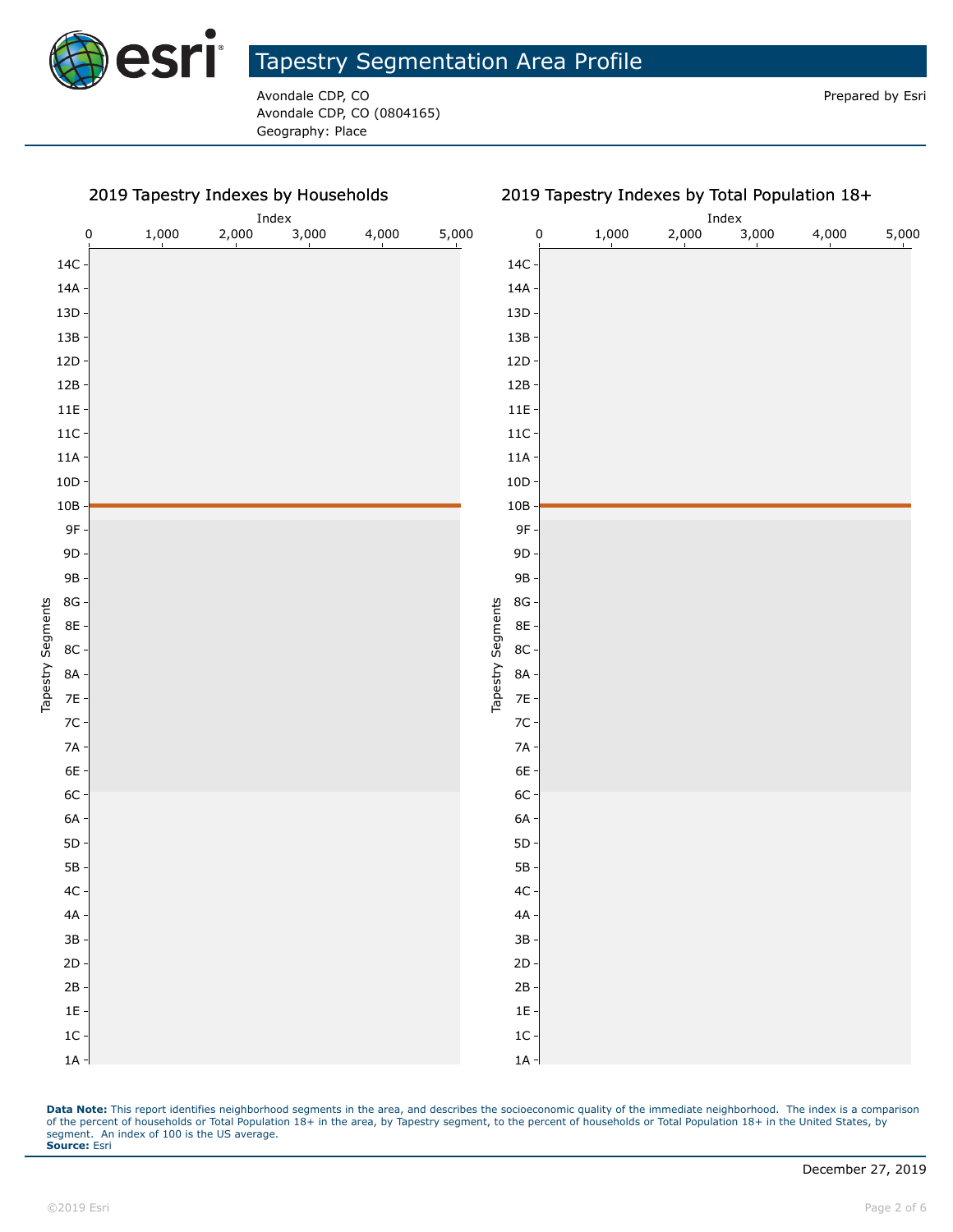

Avondale CDP, CO **Prepared by Esri** Prepared by Esri Avondale CDP, CO (0804165) Geography: Place

2019 Tapestry Indexes by Households

|                           |           | $_{\rm Index}$ |       |       |       |       |                             |       | Index |       |       |       |  |
|---------------------------|-----------|----------------|-------|-------|-------|-------|-----------------------------|-------|-------|-------|-------|-------|--|
|                           | $\pmb{0}$ | 1,000          | 2,000 | 3,000 | 4,000 | 5,000 | $\pmb{0}$                   | 1,000 | 2,000 | 3,000 | 4,000 | 5,000 |  |
| $14C -$                   |           |                |       |       |       |       | $14C -$                     |       |       |       |       |       |  |
| $14A -$                   |           |                |       |       |       |       | $14A -$                     |       |       |       |       |       |  |
| $13D -$                   |           |                |       |       |       |       | $13D$                       |       |       |       |       |       |  |
| $13B -$                   |           |                |       |       |       |       | $13B -$                     |       |       |       |       |       |  |
| $12D -$                   |           |                |       |       |       |       | 12D                         |       |       |       |       |       |  |
| $12B -$                   |           |                |       |       |       |       | 12B                         |       |       |       |       |       |  |
| $11E -$                   |           |                |       |       |       |       | $11E -$                     |       |       |       |       |       |  |
| $11C -$                   |           |                |       |       |       |       | $11C -$                     |       |       |       |       |       |  |
| $11A -$                   |           |                |       |       |       |       | $11A -$                     |       |       |       |       |       |  |
| $10D -$                   |           |                |       |       |       |       | $10D$                       |       |       |       |       |       |  |
| $10B -$                   |           |                |       |       |       |       | $10B$                       |       |       |       |       |       |  |
| $9F -$                    |           |                |       |       |       |       | $9F -$                      |       |       |       |       |       |  |
| $9D -$                    |           |                |       |       |       |       | $9D -$                      |       |       |       |       |       |  |
| $9B -$                    |           |                |       |       |       |       | 9B-                         |       |       |       |       |       |  |
| $8G -$                    |           |                |       |       |       |       | $8\mathsf{G}$               |       |       |       |       |       |  |
| 8E -                      |           |                |       |       |       |       | 8E -                        |       |       |       |       |       |  |
| $8C -$                    |           |                |       |       |       |       | $8C -$                      |       |       |       |       |       |  |
| Tapestry Segments<br>8A - |           |                |       |       |       |       | Tapestry Segments<br>$8A -$ |       |       |       |       |       |  |
| $7E -$                    |           |                |       |       |       |       | $7E -$                      |       |       |       |       |       |  |
| $7C -$                    |           |                |       |       |       |       | $7C -$                      |       |       |       |       |       |  |
| $7A -$                    |           |                |       |       |       |       | $7A -$                      |       |       |       |       |       |  |
| $6E -$                    |           |                |       |       |       |       | 6E -                        |       |       |       |       |       |  |
| $6C -$                    |           |                |       |       |       |       | $6C -$                      |       |       |       |       |       |  |
| $6A -$                    |           |                |       |       |       |       | $6A -$                      |       |       |       |       |       |  |
| $5D -$                    |           |                |       |       |       |       | $5\mathsf{D}$               |       |       |       |       |       |  |
| $5B -$                    |           |                |       |       |       |       | $5B -$                      |       |       |       |       |       |  |
| $4C -$                    |           |                |       |       |       |       | $4C -$                      |       |       |       |       |       |  |
| $4A -$                    |           |                |       |       |       |       | $4A -$                      |       |       |       |       |       |  |
| $3B -$                    |           |                |       |       |       |       | $3B -$                      |       |       |       |       |       |  |
| $2D -$                    |           |                |       |       |       |       | $2D -$                      |       |       |       |       |       |  |
| $2B -$                    |           |                |       |       |       |       | $2B -$                      |       |       |       |       |       |  |
| $1E -$                    |           |                |       |       |       |       | $1E -$                      |       |       |       |       |       |  |
| $1C -$                    |           |                |       |       |       |       | $1C -$                      |       |       |       |       |       |  |
| $1A -$                    |           |                |       |       |       |       | $1A -$                      |       |       |       |       |       |  |

#### 2019 Tapestry Indexes by Total Population 18+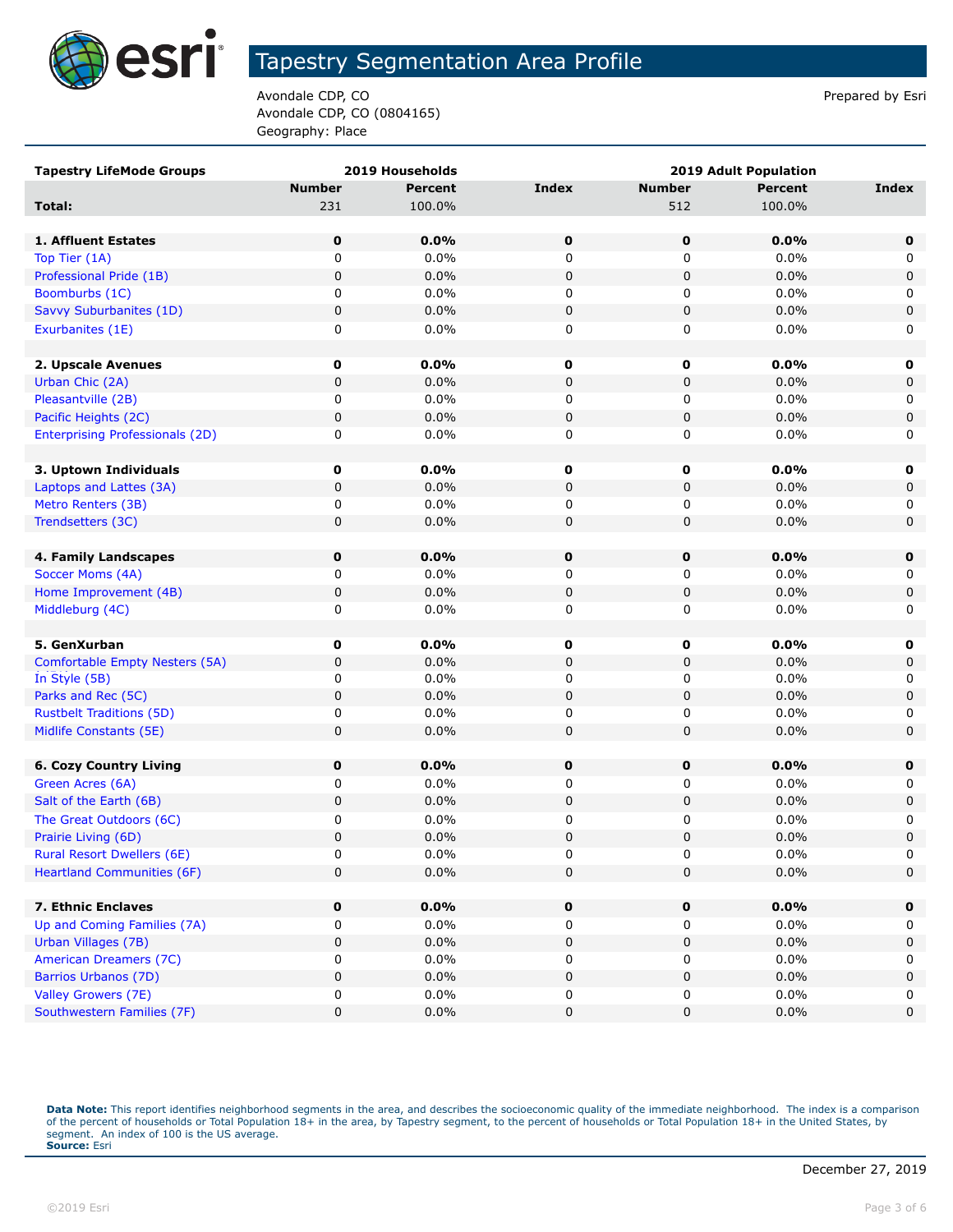

Avondale CDP, CO **Prepared by Estimate COP**,  $\overline{P}$ Avondale CDP, CO (0804165) Geography: Place

| <b>Tapestry LifeMode Groups</b>        | 2019 Households |                | 2019 Adult Population |               |                |             |  |
|----------------------------------------|-----------------|----------------|-----------------------|---------------|----------------|-------------|--|
|                                        | <b>Number</b>   | <b>Percent</b> | <b>Index</b>          | <b>Number</b> | <b>Percent</b> | Index       |  |
| Total:                                 | 231             | 100.0%         |                       | 512           | 100.0%         |             |  |
|                                        |                 |                |                       |               |                |             |  |
| 1. Affluent Estates                    | 0               | $0.0\%$        | $\mathbf 0$           | 0             | 0.0%           | 0           |  |
| Top Tier (1A)                          | 0               | 0.0%           | 0                     | 0             | 0.0%           | 0           |  |
| Professional Pride (1B)                | 0               | 0.0%           | $\pmb{0}$             | 0             | 0.0%           | 0           |  |
| Boomburbs (1C)                         | 0               | 0.0%           | 0                     | 0             | $0.0\%$        | 0           |  |
| Savvy Suburbanites (1D)                | 0               | 0.0%           | $\pmb{0}$             | 0             | 0.0%           | $\pmb{0}$   |  |
| Exurbanites (1E)                       | 0               | 0.0%           | 0                     | 0             | $0.0\%$        | 0           |  |
|                                        |                 |                |                       |               |                |             |  |
| 2. Upscale Avenues                     | 0               | 0.0%           | 0                     | $\mathbf 0$   | 0.0%           | 0           |  |
| Urban Chic (2A)                        | 0               | 0.0%           | $\pmb{0}$             | 0             | 0.0%           | 0           |  |
| Pleasantville (2B)                     | 0               | 0.0%           | 0                     | 0             | 0.0%           | 0           |  |
| Pacific Heights (2C)                   | 0               | 0.0%           | $\mathbf 0$           | 0             | 0.0%           | 0           |  |
| <b>Enterprising Professionals (2D)</b> | 0               | 0.0%           | 0                     | 0             | 0.0%           | 0           |  |
|                                        |                 |                |                       |               |                |             |  |
| 3. Uptown Individuals                  | 0               | 0.0%           | 0                     | 0             | 0.0%           | 0           |  |
| Laptops and Lattes (3A)                | 0               | 0.0%           | 0                     | 0             | 0.0%           | 0           |  |
| Metro Renters (3B)                     | 0               | 0.0%           | 0                     | 0             | 0.0%           | 0           |  |
| Trendsetters (3C)                      | 0               | 0.0%           | $\mathbf 0$           | 0             | 0.0%           | $\mathbf 0$ |  |
|                                        |                 |                |                       |               |                |             |  |
| 4. Family Landscapes                   | $\mathbf 0$     | 0.0%           | 0                     | 0             | 0.0%           | 0           |  |
| Soccer Moms (4A)                       | 0               | 0.0%           | 0                     | 0             | 0.0%           | 0           |  |
| Home Improvement (4B)                  | 0               | 0.0%           | $\pmb{0}$             | 0             | 0.0%           | 0           |  |
| Middleburg (4C)                        | 0               | 0.0%           | 0                     | 0             | 0.0%           | 0           |  |
|                                        |                 |                |                       |               |                |             |  |
| 5. GenXurban                           | $\mathbf 0$     | 0.0%           | 0                     | $\mathbf 0$   | 0.0%           | 0           |  |
| Comfortable Empty Nesters (5A)         | 0               | 0.0%           | $\pmb{0}$             | 0             | 0.0%           | 0           |  |
| In Style (5B)                          | 0               | 0.0%           | 0                     | 0             | 0.0%           | 0           |  |
| Parks and Rec (5C)                     | 0               | 0.0%           | $\mathbf 0$           | 0             | 0.0%           | 0           |  |
| <b>Rustbelt Traditions (5D)</b>        | 0               | 0.0%           | 0                     | 0             | 0.0%           | 0           |  |
| Midlife Constants (5E)                 | 0               | 0.0%           | $\mathbf 0$           | 0             | 0.0%           | 0           |  |
|                                        |                 |                |                       |               |                |             |  |
| <b>6. Cozy Country Living</b>          | 0               | 0.0%           | 0                     | 0             | 0.0%           | 0           |  |
| Green Acres (6A)                       | 0               | 0.0%           | 0                     | 0             | 0.0%           | 0           |  |
| Salt of the Earth (6B)                 | 0               | 0.0%           | $\pmb{0}$             | 0             | 0.0%           | 0           |  |
| The Great Outdoors (6C)                | 0               | 0.0%           | 0                     | 0             | 0.0%           | 0           |  |
| Prairie Living (6D)                    | 0               | 0.0%           | $\mathbf 0$           | 0             | 0.0%           | $\mathbf 0$ |  |
| <b>Rural Resort Dwellers (6E)</b>      | 0               | 0.0%           | $\Omega$              | $\Omega$      | 0.0%           | $\Omega$    |  |
| <b>Heartland Communities (6F)</b>      | 0               | 0.0%           | $\pmb{0}$             | 0             | 0.0%           | 0           |  |
|                                        |                 |                |                       |               |                |             |  |
| 7. Ethnic Enclaves                     | 0               | 0.0%           | 0                     | 0             | 0.0%           | 0           |  |
| Up and Coming Families (7A)            | 0               | 0.0%           | 0                     | 0             | 0.0%           | 0           |  |
| Urban Villages (7B)                    | 0               | 0.0%           | 0                     | 0             | 0.0%           | 0           |  |
| American Dreamers (7C)                 | 0               | 0.0%           | 0                     | 0             | 0.0%           | 0           |  |
| Barrios Urbanos (7D)                   | 0               | 0.0%           | $\pmb{0}$             | 0             | 0.0%           | 0           |  |
| Valley Growers (7E)                    | 0               | 0.0%           | 0                     | 0             | 0.0%           | 0           |  |
| Southwestern Families (7F)             | 0               | 0.0%           | $\pmb{0}$             | 0             | 0.0%           | 0           |  |
|                                        |                 |                |                       |               |                |             |  |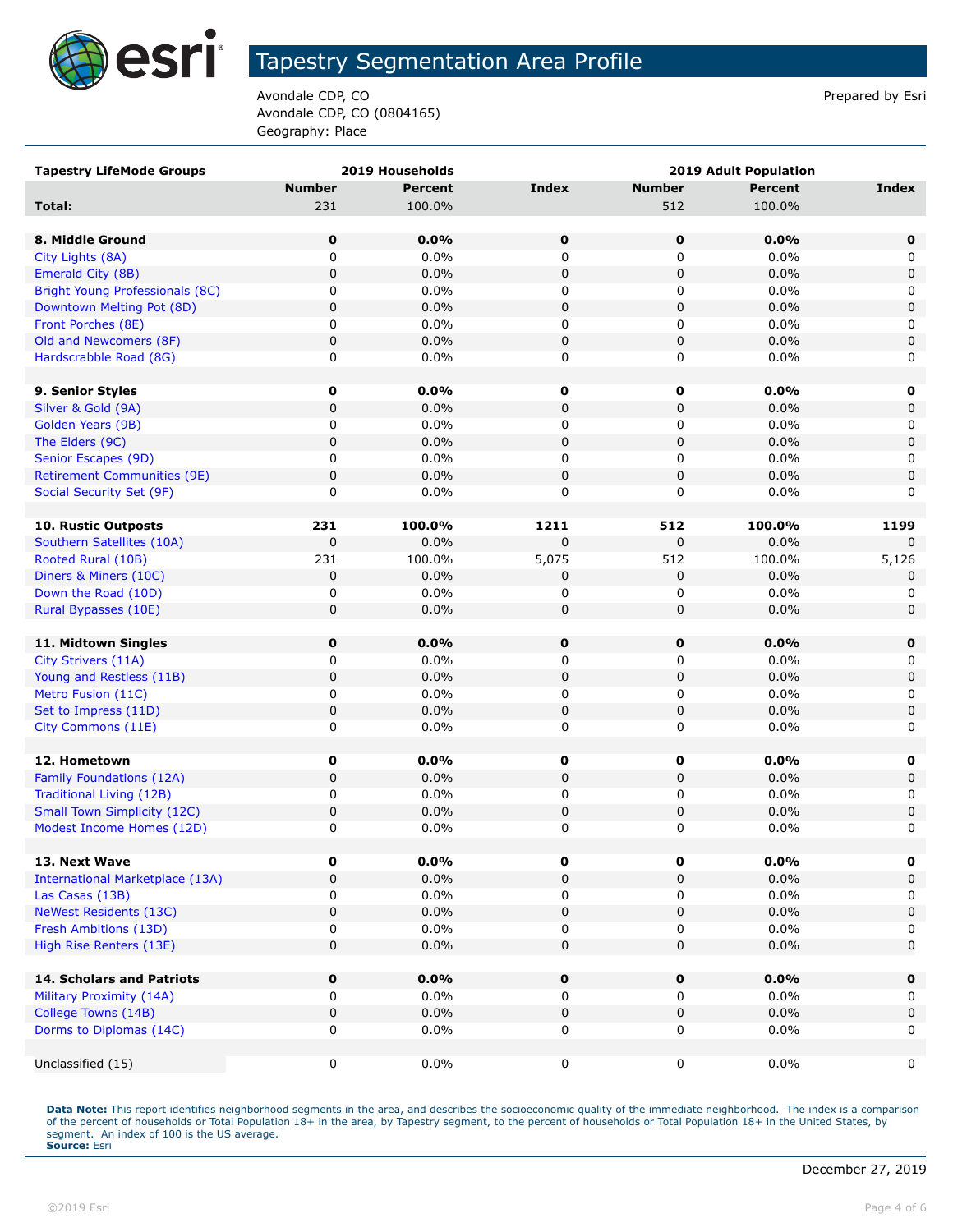

Avondale CDP, CO **Prepared by Estimate COP**,  $\overline{P}$ Avondale CDP, CO (0804165) Geography: Place

| <b>Tapestry LifeMode Groups</b>        |               | 2019 Households |              |               | <b>2019 Adult Population</b> |              |
|----------------------------------------|---------------|-----------------|--------------|---------------|------------------------------|--------------|
|                                        | <b>Number</b> | <b>Percent</b>  | <b>Index</b> | <b>Number</b> | <b>Percent</b>               | Index        |
| Total:                                 | 231           | 100.0%          |              | 512           | 100.0%                       |              |
|                                        |               |                 |              |               |                              |              |
| 8. Middle Ground                       | 0             | 0.0%            | 0            | 0             | 0.0%                         | 0            |
| City Lights (8A)                       | 0             | 0.0%            | 0            | 0             | 0.0%                         | 0            |
| Emerald City (8B)                      | 0             | 0.0%            | $\mathbf 0$  | $\pmb{0}$     | 0.0%                         | 0            |
| Bright Young Professionals (8C)        | 0             | $0.0\%$         | 0            | 0             | $0.0\%$                      | 0            |
| Downtown Melting Pot (8D)              | 0             | 0.0%            | $\pmb{0}$    | $\pmb{0}$     | 0.0%                         | $\mathbf 0$  |
| Front Porches (8E)                     | 0             | 0.0%            | 0            | 0             | 0.0%                         | 0            |
| Old and Newcomers (8F)                 | 0             | 0.0%            | $\mathbf 0$  | $\mathbf 0$   | 0.0%                         | $\mathbf 0$  |
| Hardscrabble Road (8G)                 | 0             | 0.0%            | 0            | 0             | 0.0%                         | 0            |
|                                        |               |                 |              |               |                              |              |
| 9. Senior Styles                       | 0             | $0.0\%$         | $\mathbf 0$  | 0             | 0.0%                         | $\mathbf 0$  |
| Silver & Gold (9A)                     | 0             | 0.0%            | $\mathbf 0$  | $\mathbf 0$   | 0.0%                         | $\mathbf 0$  |
| Golden Years (9B)                      | 0             | 0.0%            | 0            | 0             | 0.0%                         | 0            |
| The Elders (9C)                        | 0             | 0.0%            | $\mathbf 0$  | $\pmb{0}$     | 0.0%                         | $\mathsf 0$  |
| Senior Escapes (9D)                    | 0             | $0.0\%$         | 0            | 0             | $0.0\%$                      | 0            |
| <b>Retirement Communities (9E)</b>     | 0             | 0.0%            | $\mathbf 0$  | $\pmb{0}$     | 0.0%                         | $\mathbf 0$  |
| Social Security Set (9F)               | 0             | $0.0\%$         | 0            | 0             | $0.0\%$                      | 0            |
|                                        |               |                 |              |               |                              |              |
| 10. Rustic Outposts                    | 231           | 100.0%          | 1211         | 512           | 100.0%                       | 1199         |
| Southern Satellites (10A)              | 0             | 0.0%            | 0            | $\mathbf 0$   | 0.0%                         | <sup>n</sup> |
| Rooted Rural (10B)                     | 231           | 100.0%          | 5,075        | 512           | 100.0%                       | 5,126        |
| Diners & Miners (10C)                  | 0             | 0.0%            | 0            | 0             | 0.0%                         | 0            |
| Down the Road (10D)                    | 0             | 0.0%            | 0            | 0             | 0.0%                         | 0            |
| Rural Bypasses (10E)                   | 0             | 0.0%            | $\mathbf 0$  | $\mathbf 0$   | 0.0%                         | $\mathbf 0$  |
|                                        |               |                 |              |               |                              |              |
| 11. Midtown Singles                    | 0             | 0.0%            | $\mathbf 0$  | $\mathbf 0$   | 0.0%                         | 0            |
| City Strivers (11A)                    | 0             | 0.0%            | 0            | 0             | 0.0%                         | 0            |
| Young and Restless (11B)               | 0             | 0.0%            | $\pmb{0}$    | $\mathbf 0$   | 0.0%                         | $\mathbf 0$  |
| Metro Fusion (11C)                     | 0             | 0.0%            | 0            | 0             | 0.0%                         | 0            |
| Set to Impress (11D)                   | 0             | 0.0%            | 0            | 0             | 0.0%                         | $\mathbf 0$  |
| City Commons (11E)                     | 0             | 0.0%            | 0            | 0             | 0.0%                         | 0            |
|                                        |               |                 |              |               |                              |              |
| 12. Hometown                           | 0             | 0.0%            | $\pmb{0}$    | 0             | 0.0%                         | 0            |
| <b>Family Foundations (12A)</b>        | 0             | 0.0%            | $\mathbf 0$  | $\pmb{0}$     | 0.0%                         | 0            |
| Traditional Living (12B)               | 0             | 0.0%            | 0            | 0             | 0.0%                         | 0            |
| <b>Small Town Simplicity (12C)</b>     | 0             | 0.0%            | $\pmb{0}$    | 0             | 0.0%                         | $\mathbf 0$  |
| Modest Income Homes (12D)              | 0             | 0.0%            | 0            | $\pmb{0}$     | 0.0%                         | 0            |
| 13. Next Wave                          | 0             | $0.0\%$         | 0            | 0             | $0.0\%$                      | 0            |
| <b>International Marketplace (13A)</b> | 0             | 0.0%            | $\mathbf 0$  | $\mathbf 0$   | 0.0%                         | $\mathbf 0$  |
| Las Casas (13B)                        | 0             | 0.0%            | 0            | 0             | 0.0%                         | 0            |
| <b>NeWest Residents (13C)</b>          | 0             | 0.0%            | $\pmb{0}$    | $\pmb{0}$     | 0.0%                         | 0            |
| Fresh Ambitions (13D)                  | 0             | 0.0%            | 0            | $\pmb{0}$     | 0.0%                         | 0            |
| High Rise Renters (13E)                | 0             | 0.0%            | 0            | $\pmb{0}$     | 0.0%                         | $\mathbf 0$  |
|                                        |               |                 |              |               |                              |              |
| 14. Scholars and Patriots              | 0             | 0.0%            | $\mathbf 0$  | 0             | 0.0%                         | $\mathbf 0$  |
| Military Proximity (14A)               | 0             | $0.0\%$         | 0            | 0             | $0.0\%$                      | 0            |
| College Towns (14B)                    | 0             | 0.0%            | $\mathbf 0$  | $\pmb{0}$     | 0.0%                         | $\mathbf 0$  |
| Dorms to Diplomas (14C)                | 0             | 0.0%            | 0            | 0             | 0.0%                         | 0            |
|                                        |               |                 |              |               |                              |              |
| Unclassified (15)                      | 0             | 0.0%            | $\pmb{0}$    | 0             | $0.0\%$                      | 0            |
|                                        |               |                 |              |               |                              |              |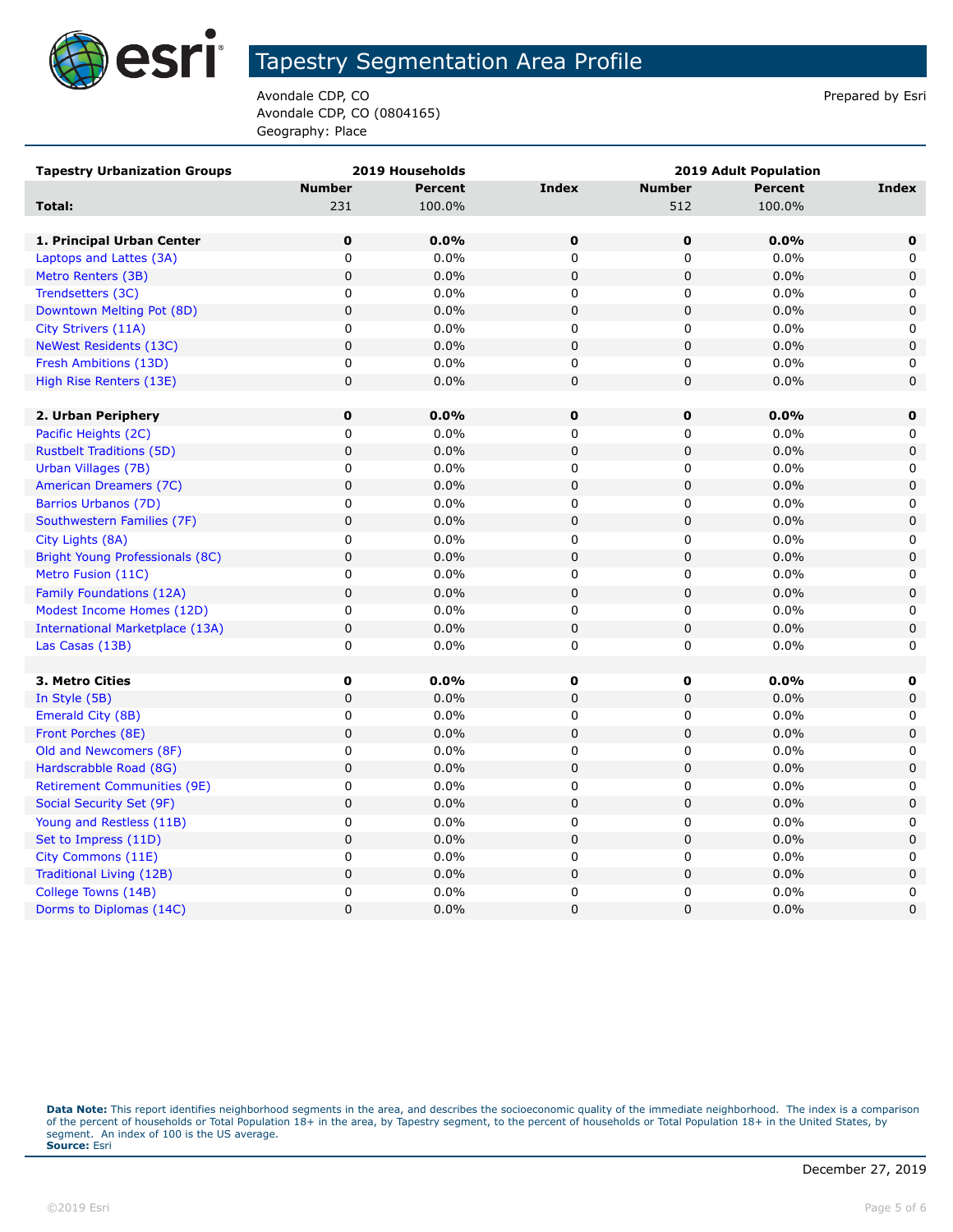

Avondale CDP, CO **Prepared by Estimate COP**,  $\overline{P}$ Avondale CDP, CO (0804165) Geography: Place

| <b>Tapestry Urbanization Groups</b>    |               | 2019 Households | <b>2019 Adult Population</b> |               |                |              |  |
|----------------------------------------|---------------|-----------------|------------------------------|---------------|----------------|--------------|--|
|                                        | <b>Number</b> | Percent         | <b>Index</b>                 | <b>Number</b> | <b>Percent</b> | Index        |  |
| Total:                                 | 231           | 100.0%          |                              | 512           | 100.0%         |              |  |
|                                        |               |                 |                              |               |                |              |  |
| 1. Principal Urban Center              | $\mathbf 0$   | 0.0%            | $\mathbf 0$                  | $\mathbf 0$   | 0.0%           | $\mathbf 0$  |  |
| Laptops and Lattes (3A)                | $\pmb{0}$     | 0.0%            | $\mathbf 0$                  | 0             | 0.0%           | 0            |  |
| Metro Renters (3B)                     | $\mathbf 0$   | 0.0%            | $\mathbf 0$                  | 0             | 0.0%           | $\mathbf 0$  |  |
| Trendsetters (3C)                      | 0             | 0.0%            | 0                            | 0             | 0.0%           | $\mathbf{0}$ |  |
| Downtown Melting Pot (8D)              | $\pmb{0}$     | 0.0%            | $\pmb{0}$                    | 0             | 0.0%           | $\mathbf 0$  |  |
| City Strivers (11A)                    | 0             | 0.0%            | 0                            | 0             | 0.0%           | 0            |  |
| <b>NeWest Residents (13C)</b>          | $\pmb{0}$     | 0.0%            | $\mathsf 0$                  | 0             | 0.0%           | 0            |  |
| Fresh Ambitions (13D)                  | 0             | $0.0\%$         | $\mathbf 0$                  | 0             | 0.0%           | 0            |  |
| High Rise Renters (13E)                | 0             | 0.0%            | $\mathbf 0$                  | 0             | 0.0%           | $\mathbf 0$  |  |
|                                        |               |                 |                              |               |                |              |  |
| 2. Urban Periphery                     | $\bf{0}$      | $0.0\%$         | $\mathbf 0$                  | 0             | 0.0%           | 0            |  |
| Pacific Heights (2C)                   | 0             | 0.0%            | 0                            | 0             | 0.0%           | 0            |  |
| <b>Rustbelt Traditions (5D)</b>        | $\pmb{0}$     | 0.0%            | $\pmb{0}$                    | 0             | 0.0%           | $\pmb{0}$    |  |
| Urban Villages (7B)                    | 0             | 0.0%            | 0                            | 0             | 0.0%           | 0            |  |
| American Dreamers (7C)                 | $\mathbf 0$   | 0.0%            | $\mathbf 0$                  | 0             | 0.0%           | $\mathbf 0$  |  |
| Barrios Urbanos (7D)                   | 0             | 0.0%            | 0                            | 0             | 0.0%           | 0            |  |
| Southwestern Families (7F)             | $\mathbf 0$   | 0.0%            | $\mathbf 0$                  | 0             | 0.0%           | $\mathbf 0$  |  |
| City Lights (8A)                       | $\pmb{0}$     | 0.0%            | $\mathbf 0$                  | 0             | 0.0%           | 0            |  |
| Bright Young Professionals (8C)        | $\pmb{0}$     | 0.0%            | $\pmb{0}$                    | $\mathsf 0$   | 0.0%           | $\mathbf 0$  |  |
| Metro Fusion (11C)                     | 0             | 0.0%            | 0                            | 0             | 0.0%           | 0            |  |
| Family Foundations (12A)               | $\pmb{0}$     | 0.0%            | $\pmb{0}$                    | 0             | 0.0%           | $\pmb{0}$    |  |
| Modest Income Homes (12D)              | $\mathbf 0$   | 0.0%            | 0                            | 0             | 0.0%           | 0            |  |
| <b>International Marketplace (13A)</b> | $\pmb{0}$     | 0.0%            | $\mathsf 0$                  | $\pmb{0}$     | 0.0%           | $\pmb{0}$    |  |
| Las Casas (13B)                        | $\mathbf 0$   | 0.0%            | $\mathbf 0$                  | 0             | 0.0%           | 0            |  |
|                                        |               |                 |                              |               |                |              |  |
| 3. Metro Cities                        | 0             | 0.0%            | 0                            | 0             | 0.0%           | 0            |  |
| In Style (5B)                          | $\mathbf 0$   | 0.0%            | $\mathbf 0$                  | 0             | 0.0%           | $\mathbf 0$  |  |
| Emerald City (8B)                      | 0             | 0.0%            | 0                            | 0             | 0.0%           | 0            |  |
| Front Porches (8E)                     | $\pmb{0}$     | 0.0%            | $\mathsf 0$                  | 0             | 0.0%           | 0            |  |
| Old and Newcomers (8F)                 | $\mathbf 0$   | 0.0%            | $\mathbf 0$                  | 0             | 0.0%           | 0            |  |
| Hardscrabble Road (8G)                 | $\mathbf 0$   | 0.0%            | $\mathbf 0$                  | 0             | 0.0%           | $\mathbf 0$  |  |
| <b>Retirement Communities (9E)</b>     | $\pmb{0}$     | 0.0%            | 0                            | 0             | 0.0%           | 0            |  |
| Social Security Set (9F)               | $\mathsf 0$   | 0.0%            | $\mathsf 0$                  | 0             | 0.0%           | 0            |  |
| Young and Restless (11B)               | 0             | 0.0%            | $\pmb{0}$                    | 0             | 0.0%           | 0            |  |
| Set to Impress (11D)                   | $\mathbf 0$   | 0.0%            | $\mathbf 0$                  | 0             | 0.0%           | $\mathbf 0$  |  |
| City Commons (11E)                     | 0             | 0.0%            | 0                            | 0             | 0.0%           | 0            |  |
| Traditional Living (12B)               | $\pmb{0}$     | 0.0%            | $\mathbf 0$                  | 0             | 0.0%           | $\pmb{0}$    |  |
| College Towns (14B)                    | $\mathbf 0$   | $0.0\%$         | $\mathbf 0$                  | 0             | 0.0%           | 0            |  |
| Dorms to Diplomas (14C)                | $\mathbf 0$   | 0.0%            | 0                            | 0             | 0.0%           | 0            |  |